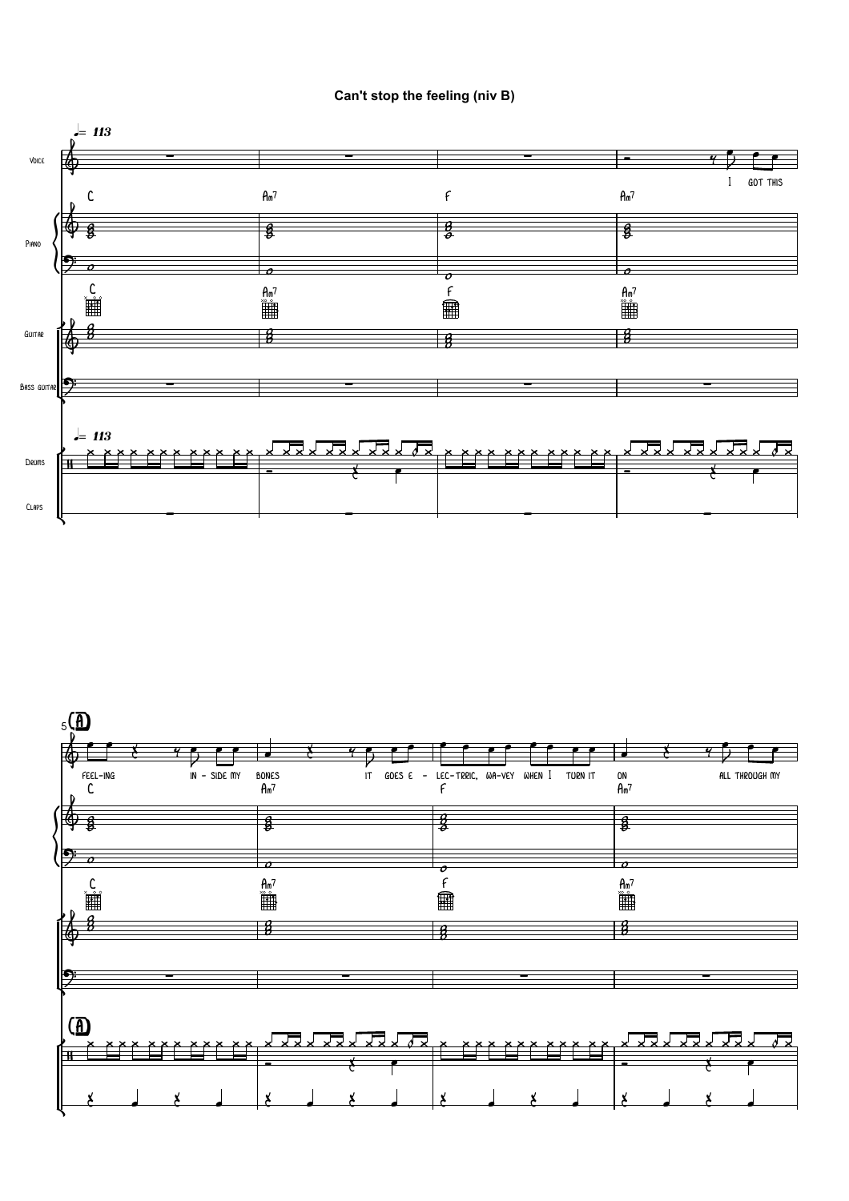## Can't stop the feeling (niv B)



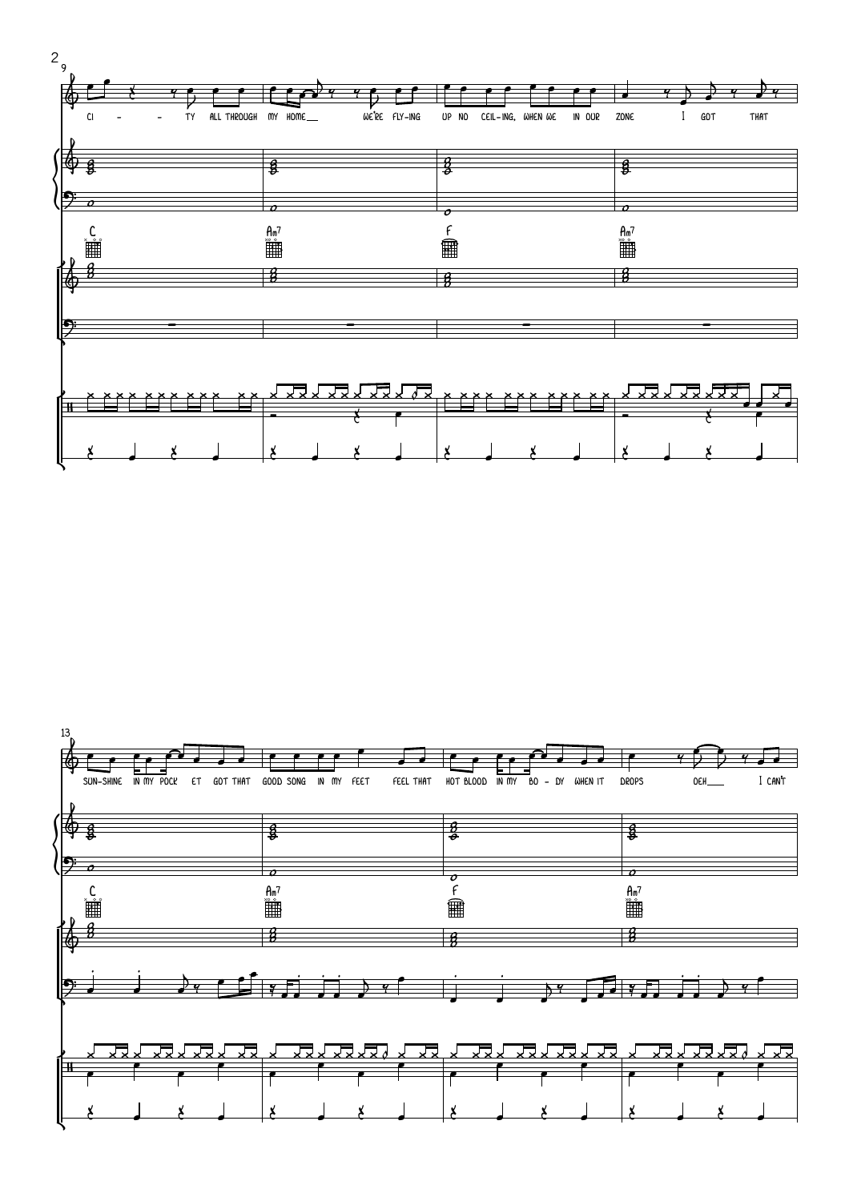

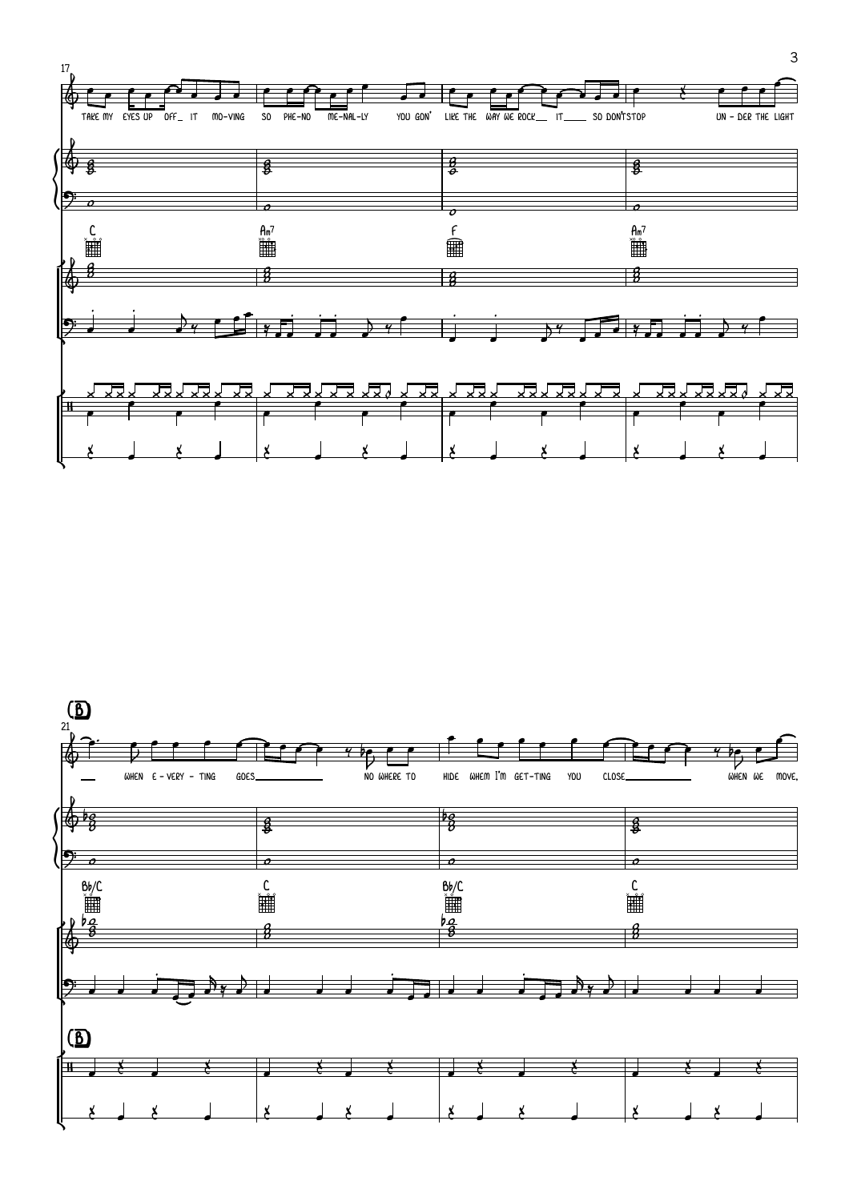

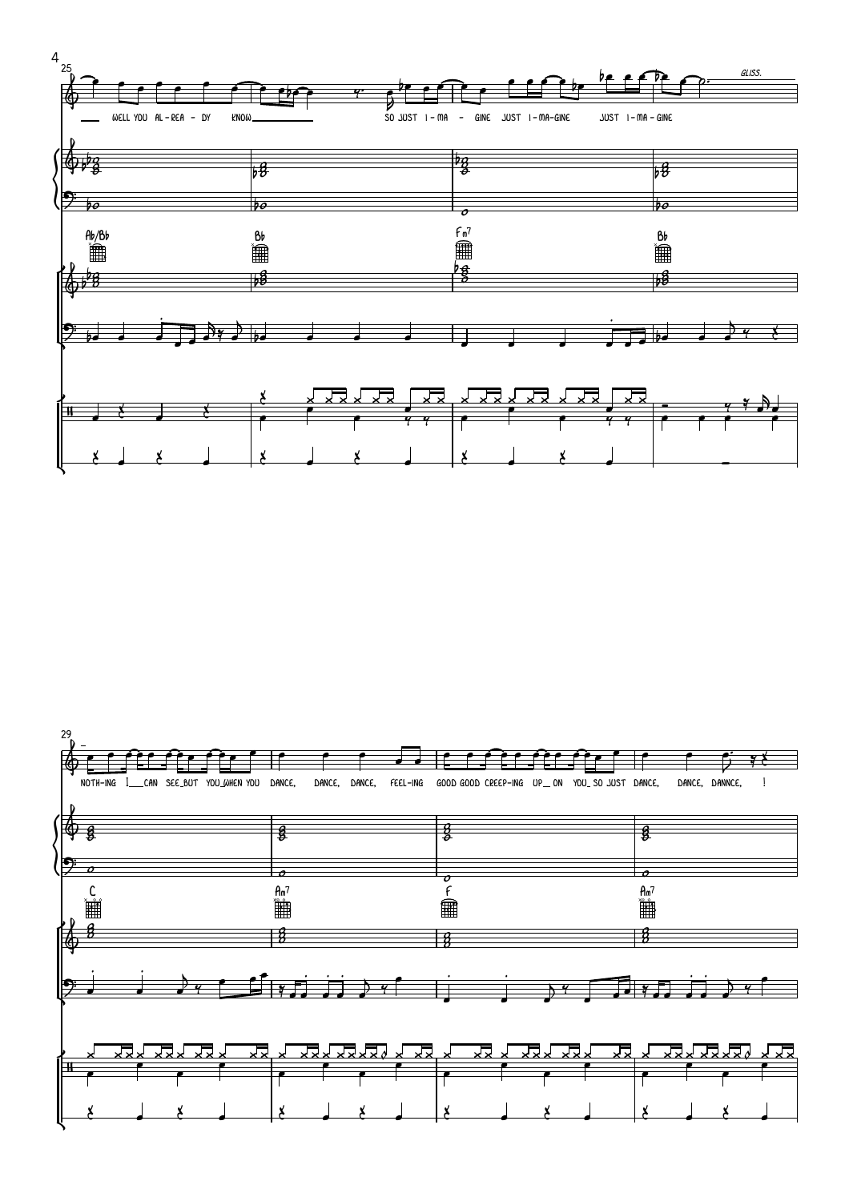